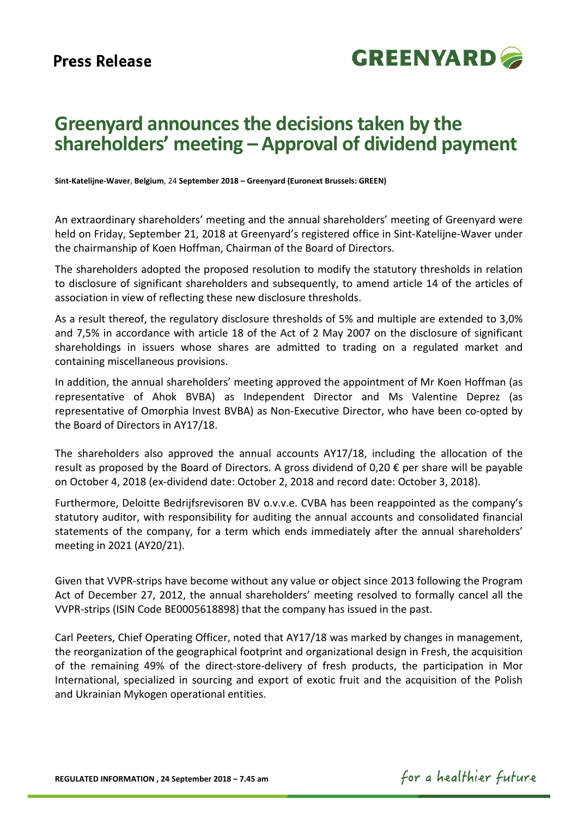

# **Greenyard announces the decisions taken by the shareholders' meeting – Approval of dividend payment**

**Sint-Katelijne-Waver**, **Belgium**, 24 **September 2018 – Greenyard (Euronext Brussels: GREEN)**

An extraordinary shareholders' meeting and the annual shareholders' meeting of Greenyard were held on Friday, September 21, 2018 at Greenyard's registered office in Sint-Katelijne-Waver under the chairmanship of Koen Hoffman, Chairman of the Board of Directors.

The shareholders adopted the proposed resolution to modify the statutory thresholds in relation to disclosure of significant shareholders and subsequently, to amend article 14 of the articles of association in view of reflecting these new disclosure thresholds.

As a result thereof, the regulatory disclosure thresholds of 5% and multiple are extended to 3,0% and 7,5% in accordance with article 18 of the Act of 2 May 2007 on the disclosure of significant shareholdings in issuers whose shares are admitted to trading on a regulated market and containing miscellaneous provisions.

In addition, the annual shareholders' meeting approved the appointment of Mr Koen Hoffman (as representative of Ahok BVBA) as Independent Director and Ms Valentine Deprez (as representative of Omorphia Invest BVBA) as Non-Executive Director, who have been co-opted by the Board of Directors in AY17/18.

The shareholders also approved the annual accounts AY17/18, including the allocation of the result as proposed by the Board of Directors. A gross dividend of 0,20  $\epsilon$  per share will be payable on October 4, 2018 (ex-dividend date: October 2, 2018 and record date: October 3, 2018).

Furthermore, Deloitte Bedrijfsrevisoren BV o.v.v.e. CVBA has been reappointed as the company's statutory auditor, with responsibility for auditing the annual accounts and consolidated financial statements of the company, for a term which ends immediately after the annual shareholders' meeting in 2021 (AY20/21).

Given that VVPR-strips have become without any value or object since 2013 following the Program Act of December 27, 2012, the annual shareholders' meeting resolved to formally cancel all the VVPR-strips (ISIN Code BE0005618898) that the company has issued in the past.

Carl Peeters, Chief Operating Officer, noted that AY17/18 was marked by changes in management, the reorganization of the geographical footprint and organizational design in Fresh, the acquisition of the remaining 49% of the direct-store-delivery of fresh products, the participation in Mor International, specialized in sourcing and export of exotic fruit and the acquisition of the Polish and Ukrainian Mykogen operational entities.

for a healthier future